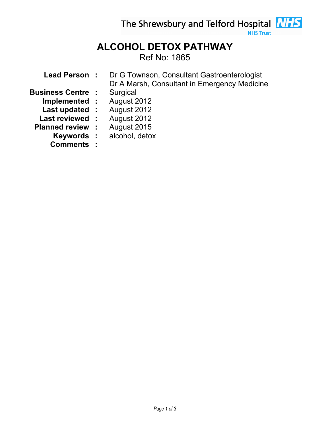The Shrewsbury and Telford Hospital **NHS** 

## **NHS Trust**

## ALCOHOL DETOX PATHWAY Ref No: 1865

| <b>Lead Person :</b>     | Dr G Townson, Consultant Gastroenterologist  |
|--------------------------|----------------------------------------------|
|                          | Dr A Marsh, Consultant in Emergency Medicine |
| <b>Business Centre :</b> | Surgical                                     |
| Implemented :            | August 2012                                  |
| Last updated :           | August 2012                                  |
| Last reviewed :          | August 2012                                  |
| <b>Planned review :</b>  | August 2015                                  |
| Keywords :               | alcohol, detox                               |

Comments :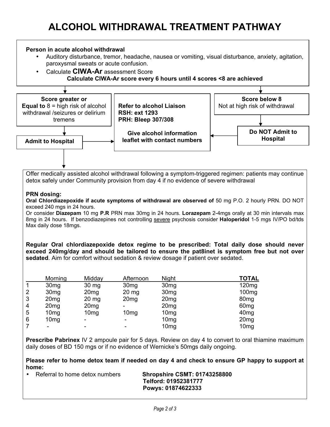## Person in acute alcohol withdrawal

- Auditory disturbance, tremor, headache, nausea or vomiting, visual disturbance, anxiety, agitation, paroxysmal sweats or acute confusion.
- Calculate CIWA-Ar assessment Score Calculate CIWA-Ar score every 6 hours until 4 scores <8 are achieved



**Prescribe Pabrinex** IV 2 ampoule pair for 5 days. Review on day 4 to convert to oral thiamine maximum daily doses of BD 150 mgs or if no evidence of Wernicke's 50mgs daily ongoing.

Please refer to home detox team if needed on day 4 and check to ensure GP happy to support at home:

• Referral to home detox numbers Shropshire CSMT: 01743258800

 Telford: 01952381777 Powys: 01874622333